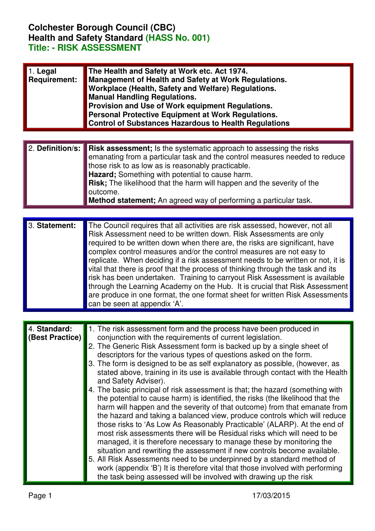| 1. Legal<br><b>Requirement:</b> | The Health and Safety at Work etc. Act 1974.<br>Management of Health and Safety at Work Regulations.<br>Workplace (Health, Safety and Welfare) Regulations.<br><b>Manual Handling Regulations.</b><br>Provision and Use of Work equipment Regulations.<br>Personal Protective Equipment at Work Regulations.<br><b>Control of Substances Hazardous to Health Regulations</b>                                                                                                                                                                                                                                                                                                                                                                                                                                                                                                                                                                                                                                                                                                                                                                                                                                                                                                                                                                   |
|---------------------------------|------------------------------------------------------------------------------------------------------------------------------------------------------------------------------------------------------------------------------------------------------------------------------------------------------------------------------------------------------------------------------------------------------------------------------------------------------------------------------------------------------------------------------------------------------------------------------------------------------------------------------------------------------------------------------------------------------------------------------------------------------------------------------------------------------------------------------------------------------------------------------------------------------------------------------------------------------------------------------------------------------------------------------------------------------------------------------------------------------------------------------------------------------------------------------------------------------------------------------------------------------------------------------------------------------------------------------------------------|
|                                 |                                                                                                                                                                                                                                                                                                                                                                                                                                                                                                                                                                                                                                                                                                                                                                                                                                                                                                                                                                                                                                                                                                                                                                                                                                                                                                                                                |
| 2. Definition/s:                | <b>Risk assessment;</b> Is the systematic approach to assessing the risks<br>emanating from a particular task and the control measures needed to reduce<br>those risk to as low as is reasonably practicable.<br>Hazard; Something with potential to cause harm.<br>Risk; The likelihood that the harm will happen and the severity of the<br>outcome.<br>Method statement; An agreed way of performing a particular task.                                                                                                                                                                                                                                                                                                                                                                                                                                                                                                                                                                                                                                                                                                                                                                                                                                                                                                                     |
|                                 |                                                                                                                                                                                                                                                                                                                                                                                                                                                                                                                                                                                                                                                                                                                                                                                                                                                                                                                                                                                                                                                                                                                                                                                                                                                                                                                                                |
| 3. Statement:                   | The Council requires that all activities are risk assessed, however, not all<br>Risk Assessment need to be written down. Risk Assessments are only<br>required to be written down when there are, the risks are significant, have<br>complex control measures and/or the control measures are not easy to<br>replicate. When deciding if a risk assessment needs to be written or not, it is<br>vital that there is proof that the process of thinking through the task and its<br>risk has been undertaken. Training to carryout Risk Assessment is available<br>through the Learning Academy on the Hub. It is crucial that Risk Assessment<br>are produce in one format, the one format sheet for written Risk Assessments<br>can be seen at appendix 'A'.                                                                                                                                                                                                                                                                                                                                                                                                                                                                                                                                                                                  |
|                                 |                                                                                                                                                                                                                                                                                                                                                                                                                                                                                                                                                                                                                                                                                                                                                                                                                                                                                                                                                                                                                                                                                                                                                                                                                                                                                                                                                |
| 4. Standard:<br>(Best Practice) | 1. The risk assessment form and the process have been produced in<br>conjunction with the requirements of current legislation.<br>2. The Generic Risk Assessment form is backed up by a single sheet of<br>descriptors for the various types of questions asked on the form.<br>3. The form is designed to be as self explanatory as possible, (however, as<br>stated above, training in its use is available through contact with the Health<br>and Safety Adviser).<br>4. The basic principal of risk assessment is that; the hazard (something with<br>the potential to cause harm) is identified, the risks (the likelihood that the<br>harm will happen and the severity of that outcome) from that emanate from<br>the hazard and taking a balanced view, produce controls which will reduce<br>those risks to 'As Low As Reasonably Practicable' (ALARP). At the end of<br>most risk assessments there will be Residual risks which will need to be<br>managed, it is therefore necessary to manage these by monitoring the<br>situation and rewriting the assessment if new controls become available.<br>5. All Risk Assessments need to be underpinned by a standard method of<br>work (appendix 'B') It is therefore vital that those involved with performing<br>the task being assessed will be involved with drawing up the risk |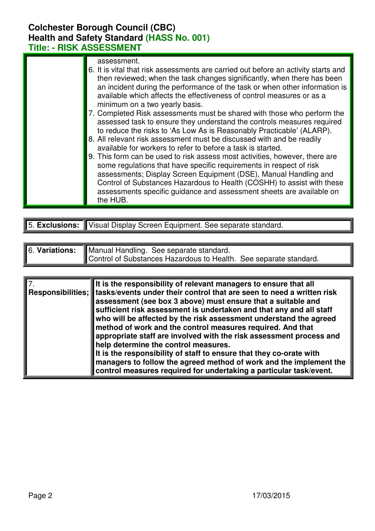| assessment.<br>6. It is vital that risk assessments are carried out before an activity starts and<br>then reviewed; when the task changes significantly, when there has been<br>an incident during the performance of the task or when other information is<br>available which affects the effectiveness of control measures or as a<br>minimum on a two yearly basis.                                                                                                                                                                                                                                                                                                                                                                                     |
|------------------------------------------------------------------------------------------------------------------------------------------------------------------------------------------------------------------------------------------------------------------------------------------------------------------------------------------------------------------------------------------------------------------------------------------------------------------------------------------------------------------------------------------------------------------------------------------------------------------------------------------------------------------------------------------------------------------------------------------------------------|
| 7. Completed Risk assessments must be shared with those who perform the<br>assessed task to ensure they understand the controls measures required<br>to reduce the risks to 'As Low As is Reasonably Practicable' (ALARP).<br>8. All relevant risk assessment must be discussed with and be readily<br>available for workers to refer to before a task is started.<br>9. This form can be used to risk assess most activities, however, there are<br>some regulations that have specific requirements in respect of risk<br>assessments; Display Screen Equipment (DSE), Manual Handling and<br>Control of Substances Hazardous to Health (COSHH) to assist with these<br>assessments specific guidance and assessment sheets are available on<br>the HUB. |

| 5. Exclusions: Visual Display Screen Equipment. See separate standard. |
|------------------------------------------------------------------------|
|                                                                        |

| 6. Variations: Manual Handling. See separate standard.            |
|-------------------------------------------------------------------|
| Control of Substances Hazardous to Health. See separate standard. |

| $\overline{7}$ | It is the responsibility of relevant managers to ensure that all<br>Responsibilities; tasks/events under their control that are seen to need a written risk<br>assessment (see box 3 above) must ensure that a suitable and<br>sufficient risk assessment is undertaken and that any and all staff<br>who will be affected by the risk assessment understand the agreed<br>method of work and the control measures required. And that<br>appropriate staff are involved with the risk assessment process and<br>help determine the control measures.<br>It is the responsibility of staff to ensure that they co-orate with<br>managers to follow the agreed method of work and the implement the<br>control measures required for undertaking a particular task/event. |
|----------------|-------------------------------------------------------------------------------------------------------------------------------------------------------------------------------------------------------------------------------------------------------------------------------------------------------------------------------------------------------------------------------------------------------------------------------------------------------------------------------------------------------------------------------------------------------------------------------------------------------------------------------------------------------------------------------------------------------------------------------------------------------------------------|
|----------------|-------------------------------------------------------------------------------------------------------------------------------------------------------------------------------------------------------------------------------------------------------------------------------------------------------------------------------------------------------------------------------------------------------------------------------------------------------------------------------------------------------------------------------------------------------------------------------------------------------------------------------------------------------------------------------------------------------------------------------------------------------------------------|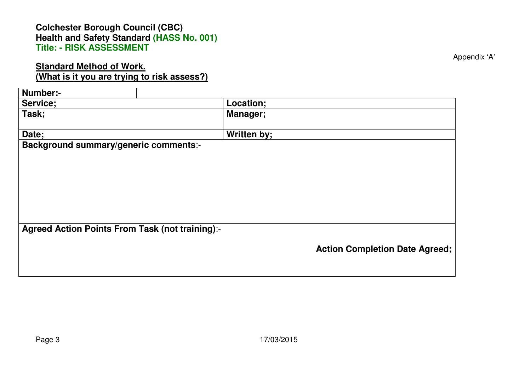### **Standard Method of Work. (What is it you are trying to risk assess?)**

**Number:- Service; Location; Task; Manager;** Date; **Date Date Date Written by**; **Background summary/generic comments**:- **Agreed Action Points From Task (not training)**:- **Action Completion Date Agreed;** 

Appendix 'A'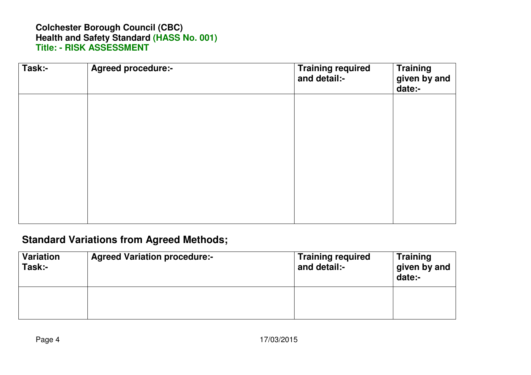|  | date:- |
|--|--------|
|  |        |
|  |        |
|  |        |
|  |        |
|  |        |

# **Standard Variations from Agreed Methods;**

| Variation<br>Task:- | <b>Agreed Variation procedure:-</b> | <b>Training required</b><br>and detail:- | <b>Training</b><br>given by and<br>date:- |
|---------------------|-------------------------------------|------------------------------------------|-------------------------------------------|
|                     |                                     |                                          |                                           |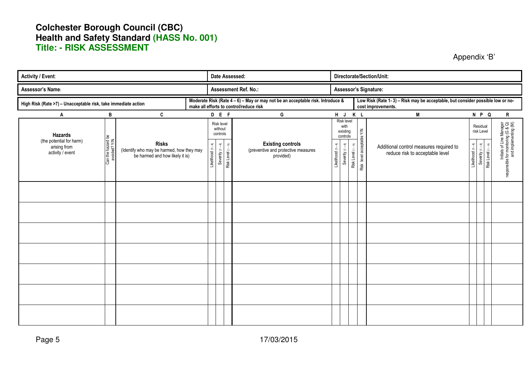Appendix 'B'

| Activity / Event:                                                              |                                   |                                                                                              |  |                                                                         |                   | Date Assessed:                                                                                                            |                  |                                                                     |                                                | Directorate/Section/Unit:                                                                                                                                                                                                                                        |  |
|--------------------------------------------------------------------------------|-----------------------------------|----------------------------------------------------------------------------------------------|--|-------------------------------------------------------------------------|-------------------|---------------------------------------------------------------------------------------------------------------------------|------------------|---------------------------------------------------------------------|------------------------------------------------|------------------------------------------------------------------------------------------------------------------------------------------------------------------------------------------------------------------------------------------------------------------|--|
| Assessor's Name:                                                               |                                   |                                                                                              |  |                                                                         |                   | Assessment Ref. No.:                                                                                                      |                  |                                                                     |                                                | Assessor's Signature:                                                                                                                                                                                                                                            |  |
| High Risk (Rate >7) - Unacceptable risk, take immediate action                 |                                   |                                                                                              |  |                                                                         |                   | Moderate Risk (Rate 4 - 6) - May or may not be an acceptable risk. Introduce &<br>make all efforts to control/reduce risk |                  |                                                                     |                                                | Low Risk (Rate 1-3) - Risk may be acceptable, but consider possible low or no-<br>cost improvements.                                                                                                                                                             |  |
| Α                                                                              | B                                 | C                                                                                            |  | D E F                                                                   |                   | G                                                                                                                         |                  | H J                                                                 | K L                                            | M<br>N P Q<br>R                                                                                                                                                                                                                                                  |  |
| <b>Hazards</b><br>(the potential for harm)<br>arising from<br>activity / event | Can the hazard be<br>avoided? Y/N | <b>Risks</b><br>(Identify who may be harmed, how they may<br>be harmed and how likely it is) |  | Risk level<br>without<br>controls<br>Likelihood (1-4)<br>Severity (1-4) | Risk Level (1-16) | <b>Existing controls</b><br>(preventive and protective measures<br>provided)                                              | Likelihood (1-4) | <b>Risk level</b><br>with<br>existing<br>controls<br>Severity (1-4) | Risk level acceptable Y/N<br>Risk Level (1-16) | Initials of Line Manager<br>responsible for monitoring (G & Q)<br>and implementing (M)<br>Residual<br>risk Level<br>Likelihood (1-4)<br>ډ<br>⊚<br>Additional control measures required to<br>Risk Level (1-<br>erity (1<br>reduce risk to acceptable level<br>යි |  |
|                                                                                |                                   |                                                                                              |  |                                                                         |                   |                                                                                                                           |                  |                                                                     |                                                |                                                                                                                                                                                                                                                                  |  |
|                                                                                |                                   |                                                                                              |  |                                                                         |                   |                                                                                                                           |                  |                                                                     |                                                |                                                                                                                                                                                                                                                                  |  |
|                                                                                |                                   |                                                                                              |  |                                                                         |                   |                                                                                                                           |                  |                                                                     |                                                |                                                                                                                                                                                                                                                                  |  |
|                                                                                |                                   |                                                                                              |  |                                                                         |                   |                                                                                                                           |                  |                                                                     |                                                |                                                                                                                                                                                                                                                                  |  |
|                                                                                |                                   |                                                                                              |  |                                                                         |                   |                                                                                                                           |                  |                                                                     |                                                |                                                                                                                                                                                                                                                                  |  |
|                                                                                |                                   |                                                                                              |  |                                                                         |                   |                                                                                                                           |                  |                                                                     |                                                |                                                                                                                                                                                                                                                                  |  |
|                                                                                |                                   |                                                                                              |  |                                                                         |                   |                                                                                                                           |                  |                                                                     |                                                |                                                                                                                                                                                                                                                                  |  |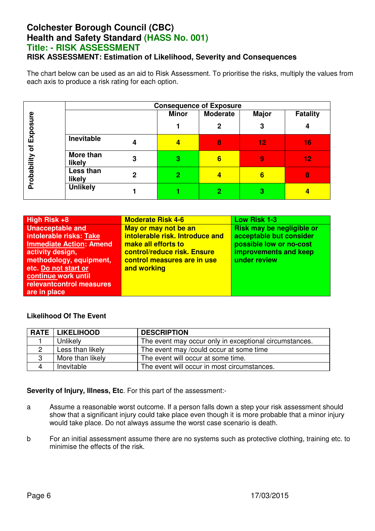### **Colchester Borough Council (CBC) Health and Safety Standard (HASS No. 001) Title: - RISK ASSESSMENT RISK ASSESSMENT: Estimation of Likelihood, Severity and Consequences**

The chart below can be used as an aid to Risk Assessment. To prioritise the risks, multiply the values from each axis to produce a risk rating for each option.

|                    | <b>Consequence of Exposure</b> |                |                |                 |                |                 |  |  |  |
|--------------------|--------------------------------|----------------|----------------|-----------------|----------------|-----------------|--|--|--|
| Φ                  |                                |                | <b>Minor</b>   | <b>Moderate</b> | <b>Major</b>   | <b>Fatality</b> |  |  |  |
| 5<br>ø<br><u>8</u> |                                |                |                | $\mathbf{2}$    | 3              | 4               |  |  |  |
| 띳<br>৳             | <b>Inevitable</b>              | 4              |                | 8               | 12             | 16              |  |  |  |
| robability<br>ൎ    | More than<br>likely            | 3              | 3              | $6\phantom{1}$  | 9              | 12              |  |  |  |
|                    | Less than<br>likely            | $\overline{2}$ | $\overline{2}$ | 4               | $6\phantom{1}$ | 8               |  |  |  |
|                    | <b>Unlikely</b>                |                |                | 2               | 3              |                 |  |  |  |

| High Risk +8                   | <b>Moderate Risk 4-6</b>        | <b>Low Risk 1-3</b>       |
|--------------------------------|---------------------------------|---------------------------|
| <b>Unacceptable and</b>        | May or may not be an            | Risk may be negligible or |
| intolerable risks: Take        | intolerable risk. Introduce and | acceptable but consider   |
| <b>Immediate Action: Amend</b> | make all efforts to             | possible low or no-cost   |
| activity design,               | control/reduce risk. Ensure     | improvements and keep     |
| methodology, equipment,        | control measures are in use     | under review              |
| etc. Do not start or           | and working                     |                           |
| continue work until            |                                 |                           |
| relevantcontrol measures       |                                 |                           |
| are in place                   |                                 |                           |

#### **Likelihood Of The Event**

| <b>RATE</b> | <b>LIKELIHOOD</b> | <b>DESCRIPTION</b>                                     |
|-------------|-------------------|--------------------------------------------------------|
|             | Unlikely          | The event may occur only in exceptional circumstances. |
|             | Less than likely  | The event may / could occur at some time               |
|             | More than likely  | The event will occur at some time.                     |
|             | Inevitable        | The event will occur in most circumstances.            |

**Severity of Injury, Illness, Etc**. For this part of the assessment:-

- a Assume a reasonable worst outcome. If a person falls down a step your risk assessment should show that a significant injury could take place even though it is more probable that a minor injury would take place. Do not always assume the worst case scenario is death.
- b For an initial assessment assume there are no systems such as protective clothing, training etc. to minimise the effects of the risk.